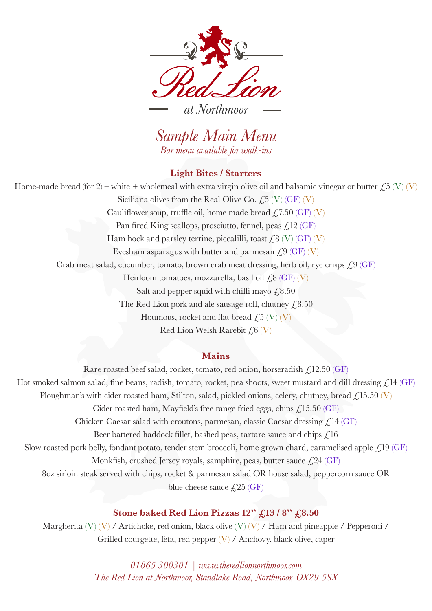

*Sample Main Menu Bar menu available for walk-ins*

#### **Light Bites / Starters**

Home-made bread (for 2) – white + wholemeal with extra virgin olive oil and balsamic vinegar or butter  $\text{\O}(V)$  (V) Siciliana olives from the Real Olive Co.  $\angle 5$  (V) (GF) (V) Cauliflower soup, truffle oil, home made bread  $f$ , 7.50 (GF) (V) Pan fired King scallops, prosciutto, fennel, peas  $\angle$ , 12 (GF) Ham hock and parsley terrine, piccalilli, toast  $\zeta_8$  (V) (GF) (V) Evesham asparagus with butter and parmesan  $f_{1.9}$  (GF) (V) Crab meat salad, cucumber, tomato, brown crab meat dressing, herb oil, rye crisps  $\zeta$ 9 (GF) Heirloom tomatoes, mozzarella, basil oil  $\angle$ 8 (GF) (V) Salt and pepper squid with chilli mayo  $\text{\textsterling}8.50$ The Red Lion pork and ale sausage roll, chutney  $\text{\textsterling}8.50$ Houmous, rocket and flat bread  $f_{15}$  (V) (V) Red Lion Welsh Rarebit  $f_0$  (V)

## **Mains**

Rare roasted beef salad, rocket, tomato, red onion, horseradish  $f_{12.50}$  (GF) Hot smoked salmon salad, fine beans, radish, tomato, rocket, pea shoots, sweet mustard and dill dressing  $\zeta$ 14 (GF) Ploughman's with cider roasted ham, Stilton, salad, pickled onions, celery, chutney, bread  $\zeta$ 15.50 (V) Cider roasted ham, Mayfield's free range fried eggs, chips  $\angle$  15.50 (GF) Chicken Caesar salad with croutons, parmesan, classic Caesar dressing  $\mathcal{L}^{14}$  (GF) Beer battered haddock fillet, bashed peas, tartare sauce and chips  $f<sub>i</sub>16$ Slow roasted pork belly, fondant potato, tender stem broccoli, home grown chard, caramelised apple  $\mathcal{L}^{19}$  (GF) Monkfish, crushed Jersey royals, samphire, peas, butter sauce  $\text{\textsterling}24$  (GF) 8oz sirloin steak served with chips, rocket & parmesan salad OR house salad, peppercorn sauce OR blue cheese sauce  $\angle 25$  (GF)

## **Stone baked Red Lion Pizzas 12" £13 / 8" £8.50**

Margherita (V) (V) / Artichoke, red onion, black olive (V) (V) / Ham and pineapple / Pepperoni / Grilled courgette, feta, red pepper  $(V)$  / Anchovy, black olive, caper

> *01865 300301 | www.theredlionnorthmoor.com The Red Lion at Northmoor, Standlake Road, Northmoor, OX29 5SX*